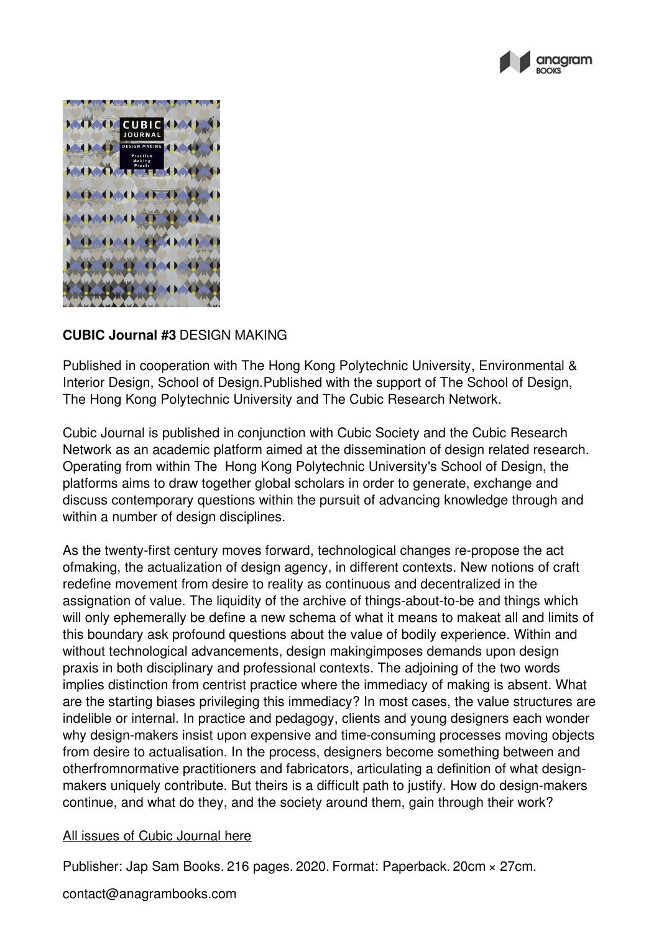



## **CUBIC Journal #3** DESIGN MAKING

Published in cooperation with The Hong Kong Polytechnic University, Environmental & Interior Design, School of Design.Published with the support of The School of Design, The Hong Kong Polytechnic University and The Cubic Research Network.

Cubic Journal is published in conjunction with Cubic Society and the Cubic Research Network as an academic platform aimed at the dissemination of design related research. Operating from within The Hong Kong Polytechnic University's School of Design, the platforms aims to draw together global scholars in order to generate, exchange and discuss contemporary questions within the pursuit of advancing knowledge through and within a number of design disciplines.

As the twenty-first century moves forward, technological changes re-propose the act ofmaking, the actualization of design agency, in different contexts. New notions of craft redefine movement from desire to reality as continuous and decentralized in the assignation of value. The liquidity of the archive of things-about-to-be and things which will only ephemerally be define a new schema of what it means to makeat all and limits of this boundary ask profound questions about the value of bodily experience. Within and without technological advancements, design makingimposes demands upon design praxis in both disciplinary and professional contexts. The adjoining of the two words implies distinction from centrist practice where the immediacy of making is absent. What are the starting biases privileging this immediacy? In most cases, the value structures are indelible or internal. In practice and pedagogy, clients and young designers each wonder why design-makers insist upon expensive and time-consuming processes moving objects from desire to actualisation. In the process, designers become something between and otherfromnormative practitioners and fabricators, articulating a definition of what designmakers uniquely contribute. But theirs is a difficult path to justify. How do design-makers continue, and what do they, and the society around them, gain through their work?

## All issues of Cubic [Journal](https://anagrambooks.com/search/publications/cubic) here

Publisher: Jap Sam Books. 216 pages. 2020. Format: Paperback. 20cm × 27cm.